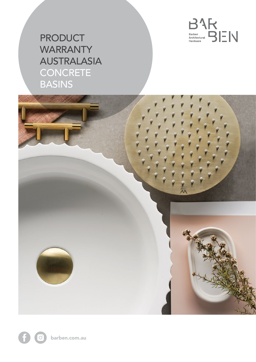

## **PRODUCT WARRANTY** AUSTRALASIA **CONCRETE** BASINS

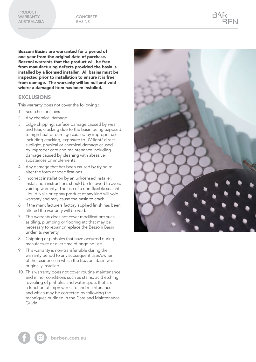Bezzoni Basins are warranted for a period of one year from the original date of purchase. Bezzoni warrants that the product will be free from manufacturing defects provided the basin is installed by a licensed installer. All basins must be inspected prior to installation to ensure it is free from damage. The warranty will be null and void where a damaged item has been installed.

## **EXCLUSIONS**

This warranty does not cover the following :

- 1. Scratches or stains
- 2. Any chemical damage
- 3. Edge chipping, surface damage caused by wear and tear, cracking due to the basin being exposed to high heat or damage caused by improper use including cracking, exposure to UV light/ direct sunlight, physical or chemical damage caused by improper care and maintenance including damage caused by cleaning with abrasive substances or implements.
- 4. Any damage that has been caused by trying to alter the form or specifications.
- 5. Incorrect installation by an unlicensed installer. Installation instructions should be followed to avoid voiding warranty. The use of a non-flexible sealant, Liquid Nails or epoxy product of any kind will void warranty and may cause the basin to crack.
- 6. If the manufacturers factory applied finish has been altered the warranty will be void.
- 7. This warranty does not cover modifications such as tiling, plumbing or flooring etc that may be necessary to repair or replace the Bezzoni Basin under its warranty.
- 8. Chipping or pinholes that have occurred during manufacture or over time of ongoing use.
- 9. This warranty is non-transferrable during the warranty period to any subsequent user/owner of the residence in which the Bezzoni Basin was originally installed.
- 10. This warranty does not cover routine maintenance and minor conditions such as stains, acid etching, revealing of pinholes and water spots that are a function of improper care and maintenance and which may be corrected by following the techniques outlined in the Care and Maintenance Guide.